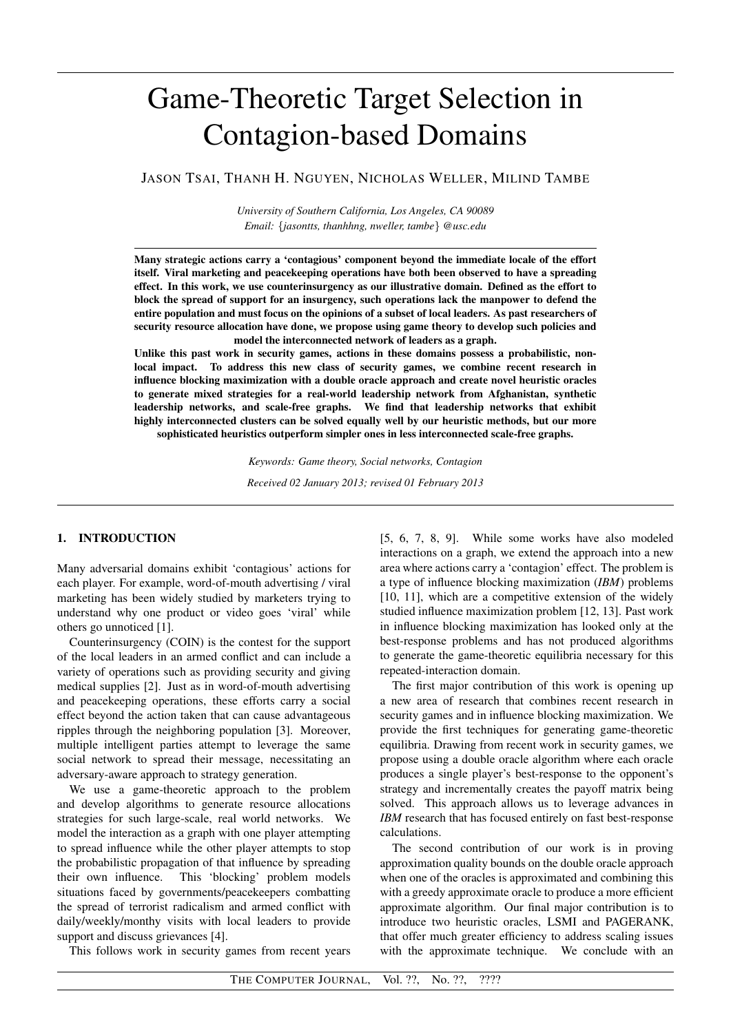# Game-Theoretic Target Selection in Contagion-based Domains

JASON TSAI, THANH H. NGUYEN, NICHOLAS WELLER, MILIND TAMBE

*University of Southern California, Los Angeles, CA 90089 Email:* {*jasontts, thanhhng, nweller, tambe*} *@usc.edu*

Many strategic actions carry a 'contagious' component beyond the immediate locale of the effort itself. Viral marketing and peacekeeping operations have both been observed to have a spreading effect. In this work, we use counterinsurgency as our illustrative domain. Defined as the effort to block the spread of support for an insurgency, such operations lack the manpower to defend the entire population and must focus on the opinions of a subset of local leaders. As past researchers of security resource allocation have done, we propose using game theory to develop such policies and model the interconnected network of leaders as a graph.

Unlike this past work in security games, actions in these domains possess a probabilistic, nonlocal impact. To address this new class of security games, we combine recent research in influence blocking maximization with a double oracle approach and create novel heuristic oracles to generate mixed strategies for a real-world leadership network from Afghanistan, synthetic leadership networks, and scale-free graphs. We find that leadership networks that exhibit highly interconnected clusters can be solved equally well by our heuristic methods, but our more sophisticated heuristics outperform simpler ones in less interconnected scale-free graphs.

> *Keywords: Game theory, Social networks, Contagion Received 02 January 2013; revised 01 February 2013*

# 1. INTRODUCTION

Many adversarial domains exhibit 'contagious' actions for each player. For example, word-of-mouth advertising / viral marketing has been widely studied by marketers trying to understand why one product or video goes 'viral' while others go unnoticed [1].

Counterinsurgency (COIN) is the contest for the support of the local leaders in an armed conflict and can include a variety of operations such as providing security and giving medical supplies [2]. Just as in word-of-mouth advertising and peacekeeping operations, these efforts carry a social effect beyond the action taken that can cause advantageous ripples through the neighboring population [3]. Moreover, multiple intelligent parties attempt to leverage the same social network to spread their message, necessitating an adversary-aware approach to strategy generation.

We use a game-theoretic approach to the problem and develop algorithms to generate resource allocations strategies for such large-scale, real world networks. We model the interaction as a graph with one player attempting to spread influence while the other player attempts to stop the probabilistic propagation of that influence by spreading their own influence. This 'blocking' problem models situations faced by governments/peacekeepers combatting the spread of terrorist radicalism and armed conflict with daily/weekly/monthy visits with local leaders to provide support and discuss grievances [4].

This follows work in security games from recent years

[5, 6, 7, 8, 9]. While some works have also modeled interactions on a graph, we extend the approach into a new area where actions carry a 'contagion' effect. The problem is a type of influence blocking maximization (*IBM*) problems [10, 11], which are a competitive extension of the widely studied influence maximization problem [12, 13]. Past work in influence blocking maximization has looked only at the best-response problems and has not produced algorithms to generate the game-theoretic equilibria necessary for this repeated-interaction domain.

The first major contribution of this work is opening up a new area of research that combines recent research in security games and in influence blocking maximization. We provide the first techniques for generating game-theoretic equilibria. Drawing from recent work in security games, we propose using a double oracle algorithm where each oracle produces a single player's best-response to the opponent's strategy and incrementally creates the payoff matrix being solved. This approach allows us to leverage advances in *IBM* research that has focused entirely on fast best-response calculations.

The second contribution of our work is in proving approximation quality bounds on the double oracle approach when one of the oracles is approximated and combining this with a greedy approximate oracle to produce a more efficient approximate algorithm. Our final major contribution is to introduce two heuristic oracles, LSMI and PAGERANK, that offer much greater efficiency to address scaling issues with the approximate technique. We conclude with an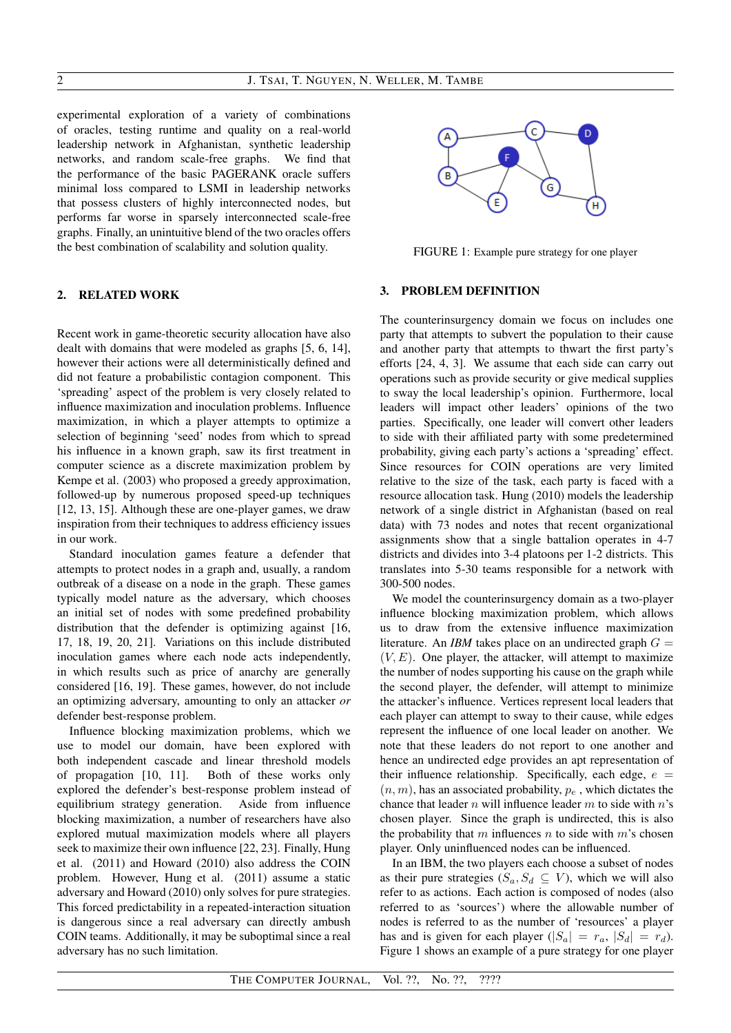experimental exploration of a variety of combinations of oracles, testing runtime and quality on a real-world leadership network in Afghanistan, synthetic leadership networks, and random scale-free graphs. We find that the performance of the basic PAGERANK oracle suffers minimal loss compared to LSMI in leadership networks that possess clusters of highly interconnected nodes, but performs far worse in sparsely interconnected scale-free graphs. Finally, an unintuitive blend of the two oracles offers the best combination of scalability and solution quality.

## 2. RELATED WORK

Recent work in game-theoretic security allocation have also dealt with domains that were modeled as graphs [5, 6, 14], however their actions were all deterministically defined and did not feature a probabilistic contagion component. This 'spreading' aspect of the problem is very closely related to influence maximization and inoculation problems. Influence maximization, in which a player attempts to optimize a selection of beginning 'seed' nodes from which to spread his influence in a known graph, saw its first treatment in computer science as a discrete maximization problem by Kempe et al. (2003) who proposed a greedy approximation, followed-up by numerous proposed speed-up techniques [12, 13, 15]. Although these are one-player games, we draw inspiration from their techniques to address efficiency issues in our work.

Standard inoculation games feature a defender that attempts to protect nodes in a graph and, usually, a random outbreak of a disease on a node in the graph. These games typically model nature as the adversary, which chooses an initial set of nodes with some predefined probability distribution that the defender is optimizing against [16, 17, 18, 19, 20, 21]. Variations on this include distributed inoculation games where each node acts independently, in which results such as price of anarchy are generally considered [16, 19]. These games, however, do not include an optimizing adversary, amounting to only an attacker *or* defender best-response problem.

Influence blocking maximization problems, which we use to model our domain, have been explored with both independent cascade and linear threshold models of propagation [10, 11]. Both of these works only explored the defender's best-response problem instead of equilibrium strategy generation. Aside from influence blocking maximization, a number of researchers have also explored mutual maximization models where all players seek to maximize their own influence [22, 23]. Finally, Hung et al. (2011) and Howard (2010) also address the COIN problem. However, Hung et al. (2011) assume a static adversary and Howard (2010) only solves for pure strategies. This forced predictability in a repeated-interaction situation is dangerous since a real adversary can directly ambush COIN teams. Additionally, it may be suboptimal since a real adversary has no such limitation.



FIGURE 1: Example pure strategy for one player

# 3. PROBLEM DEFINITION

The counterinsurgency domain we focus on includes one party that attempts to subvert the population to their cause and another party that attempts to thwart the first party's efforts [24, 4, 3]. We assume that each side can carry out operations such as provide security or give medical supplies to sway the local leadership's opinion. Furthermore, local leaders will impact other leaders' opinions of the two parties. Specifically, one leader will convert other leaders to side with their affiliated party with some predetermined probability, giving each party's actions a 'spreading' effect. Since resources for COIN operations are very limited relative to the size of the task, each party is faced with a resource allocation task. Hung (2010) models the leadership network of a single district in Afghanistan (based on real data) with 73 nodes and notes that recent organizational assignments show that a single battalion operates in 4-7 districts and divides into 3-4 platoons per 1-2 districts. This translates into 5-30 teams responsible for a network with 300-500 nodes.

We model the counterinsurgency domain as a two-player influence blocking maximization problem, which allows us to draw from the extensive influence maximization literature. An *IBM* takes place on an undirected graph  $G =$  $(V, E)$ . One player, the attacker, will attempt to maximize the number of nodes supporting his cause on the graph while the second player, the defender, will attempt to minimize the attacker's influence. Vertices represent local leaders that each player can attempt to sway to their cause, while edges represent the influence of one local leader on another. We note that these leaders do not report to one another and hence an undirected edge provides an apt representation of their influence relationship. Specifically, each edge,  $e =$  $(n, m)$ , has an associated probability,  $p_e$ , which dictates the chance that leader  $n$  will influence leader  $m$  to side with  $n$ 's chosen player. Since the graph is undirected, this is also the probability that m influences n to side with  $m$ 's chosen player. Only uninfluenced nodes can be influenced.

In an IBM, the two players each choose a subset of nodes as their pure strategies ( $S_a, S_d \subseteq V$ ), which we will also refer to as actions. Each action is composed of nodes (also referred to as 'sources') where the allowable number of nodes is referred to as the number of 'resources' a player has and is given for each player  $(|S_a| = r_a, |S_d| = r_d)$ . Figure 1 shows an example of a pure strategy for one player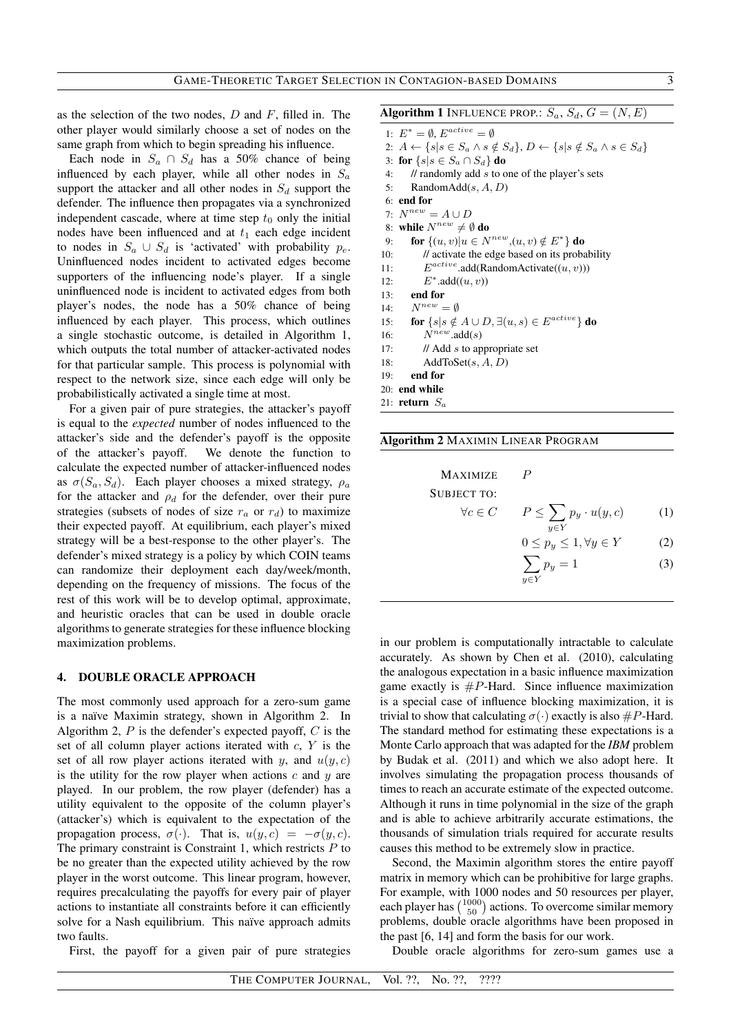as the selection of the two nodes,  $D$  and  $F$ , filled in. The other player would similarly choose a set of nodes on the same graph from which to begin spreading his influence.

Each node in  $S_a \cap S_d$  has a 50% chance of being influenced by each player, while all other nodes in  $S_a$ support the attacker and all other nodes in  $S_d$  support the defender. The influence then propagates via a synchronized independent cascade, where at time step  $t_0$  only the initial nodes have been influenced and at  $t_1$  each edge incident to nodes in  $S_a \cup S_d$  is 'activated' with probability  $p_e$ . Uninfluenced nodes incident to activated edges become supporters of the influencing node's player. If a single uninfluenced node is incident to activated edges from both player's nodes, the node has a 50% chance of being influenced by each player. This process, which outlines a single stochastic outcome, is detailed in Algorithm 1, which outputs the total number of attacker-activated nodes for that particular sample. This process is polynomial with respect to the network size, since each edge will only be probabilistically activated a single time at most.

For a given pair of pure strategies, the attacker's payoff is equal to the *expected* number of nodes influenced to the attacker's side and the defender's payoff is the opposite of the attacker's payoff. We denote the function to calculate the expected number of attacker-influenced nodes as  $\sigma(S_a, S_d)$ . Each player chooses a mixed strategy,  $\rho_a$ for the attacker and  $\rho_d$  for the defender, over their pure strategies (subsets of nodes of size  $r_a$  or  $r_d$ ) to maximize their expected payoff. At equilibrium, each player's mixed strategy will be a best-response to the other player's. The defender's mixed strategy is a policy by which COIN teams can randomize their deployment each day/week/month, depending on the frequency of missions. The focus of the rest of this work will be to develop optimal, approximate, and heuristic oracles that can be used in double oracle algorithms to generate strategies for these influence blocking maximization problems.

#### 4. DOUBLE ORACLE APPROACH

The most commonly used approach for a zero-sum game is a naïve Maximin strategy, shown in Algorithm 2. In Algorithm 2,  $P$  is the defender's expected payoff,  $C$  is the set of all column player actions iterated with  $c$ ,  $Y$  is the set of all row player actions iterated with y, and  $u(y, c)$ is the utility for the row player when actions  $c$  and  $y$  are played. In our problem, the row player (defender) has a utility equivalent to the opposite of the column player's (attacker's) which is equivalent to the expectation of the propagation process,  $\sigma(\cdot)$ . That is,  $u(y, c) = -\sigma(y, c)$ . The primary constraint is Constraint 1, which restricts  $P$  to be no greater than the expected utility achieved by the row player in the worst outcome. This linear program, however, requires precalculating the payoffs for every pair of player actions to instantiate all constraints before it can efficiently solve for a Nash equilibrium. This naïve approach admits two faults.

First, the payoff for a given pair of pure strategies

**Algorithm 1** INFLUENCE PROP.:  $S_a$ ,  $S_d$ ,  $G = (N, E)$ 1:  $E^* = \emptyset$ ,  $E^{active} = \emptyset$ 2:  $A \leftarrow \{s | s \in S_a \land s \notin S_d\}, D \leftarrow \{s | s \notin S_a \land s \in S_d\}$ 3: for  $\{s | s \in S_a \cap S_d\}$  do 4: // randomly add s to one of the player's sets 5: Random $Add(s, A, D)$ 6: end for 7:  $N^{new} = A \cup D$ 8: while  $N^{new} \neq \emptyset$  do 9: **for**  $\{(u, v) | u \in N^{new}, (u, v) \notin E^*\}$  do 10: // activate the edge based on its probability  $11:$  $E^{active}$ .add(RandomActivate $((u, v)))$  $12:$  $^*$ .add $((u, v))$ 13: end for  $14:$  $N^{new} = \emptyset$ 15: **for**  $\{s | s \notin A \cup D, \exists (u, s) \in E^{active} \}$  do 16:  $N^{new}$ .add(s) 17: // Add s to appropriate set 18: AddToSet $(s, A, D)$ 19: end for 20: end while 21: return  $S_a$ 



$$
\sum_{Y} p_y = 1 \tag{3}
$$

in our problem is computationally intractable to calculate accurately. As shown by Chen et al. (2010), calculating the analogous expectation in a basic influence maximization game exactly is  $\#P$ -Hard. Since influence maximization is a special case of influence blocking maximization, it is trivial to show that calculating  $\sigma(\cdot)$  exactly is also  $\#P$ -Hard. The standard method for estimating these expectations is a Monte Carlo approach that was adapted for the *IBM* problem by Budak et al. (2011) and which we also adopt here. It involves simulating the propagation process thousands of times to reach an accurate estimate of the expected outcome. Although it runs in time polynomial in the size of the graph and is able to achieve arbitrarily accurate estimations, the thousands of simulation trials required for accurate results causes this method to be extremely slow in practice.

Second, the Maximin algorithm stores the entire payoff matrix in memory which can be prohibitive for large graphs. For example, with 1000 nodes and 50 resources per player, each player has  $\binom{1000}{50}$  actions. To overcome similar memory problems, double oracle algorithms have been proposed in the past [6, 14] and form the basis for our work.

Double oracle algorithms for zero-sum games use a

 $p_y \cdot u(y, c)$  (1)

$$
0 < p_u < 1, \forall u \in Y \tag{2}
$$

$$
\sum_{y \in Y} p_y = 1 \tag{3}
$$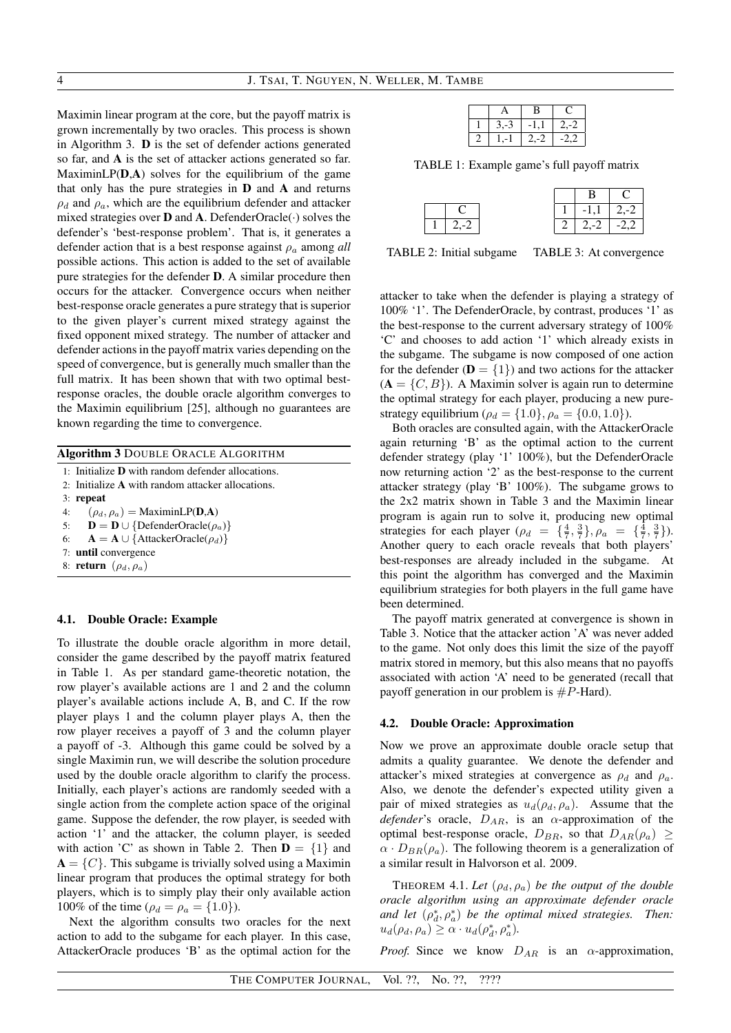Maximin linear program at the core, but the payoff matrix is grown incrementally by two oracles. This process is shown in Algorithm 3. D is the set of defender actions generated so far, and A is the set of attacker actions generated so far. MaximinLP $(D, A)$  solves for the equilibrium of the game that only has the pure strategies in D and A and returns  $\rho_d$  and  $\rho_a$ , which are the equilibrium defender and attacker mixed strategies over  $D$  and  $A$ . DefenderOracle( $\cdot$ ) solves the defender's 'best-response problem'. That is, it generates a defender action that is a best response against  $\rho_a$  among *all* possible actions. This action is added to the set of available pure strategies for the defender D. A similar procedure then occurs for the attacker. Convergence occurs when neither best-response oracle generates a pure strategy that is superior to the given player's current mixed strategy against the fixed opponent mixed strategy. The number of attacker and defender actions in the payoff matrix varies depending on the speed of convergence, but is generally much smaller than the full matrix. It has been shown that with two optimal bestresponse oracles, the double oracle algorithm converges to the Maximin equilibrium [25], although no guarantees are known regarding the time to convergence.

Algorithm 3 DOUBLE ORACLE ALGORITHM

- 1: Initialize D with random defender allocations.
- 2: Initialize A with random attacker allocations.
- 3: repeat

4:  $(\rho_d, \rho_a) =$  MaximinLP(**D**,**A**)

5:  $\mathbf{D} = \mathbf{D} \cup \{ \text{DefenderOracle}(\rho_a) \}$ 

- 6:  $\mathbf{A} = \mathbf{A} \cup \{ \text{AttackerOracle}(\rho_d) \}$
- 7: until convergence
- 8: **return**  $(\rho_d, \rho_a)$

#### 4.1. Double Oracle: Example

To illustrate the double oracle algorithm in more detail, consider the game described by the payoff matrix featured in Table 1. As per standard game-theoretic notation, the row player's available actions are 1 and 2 and the column player's available actions include A, B, and C. If the row player plays 1 and the column player plays A, then the row player receives a payoff of 3 and the column player a payoff of -3. Although this game could be solved by a single Maximin run, we will describe the solution procedure used by the double oracle algorithm to clarify the process. Initially, each player's actions are randomly seeded with a single action from the complete action space of the original game. Suppose the defender, the row player, is seeded with action '1' and the attacker, the column player, is seeded with action 'C' as shown in Table 2. Then  $D = \{1\}$  and  $A = \{C\}$ . This subgame is trivially solved using a Maximin linear program that produces the optimal strategy for both players, which is to simply play their only available action 100% of the time ( $\rho_d = \rho_a = \{1.0\}$ ).

Next the algorithm consults two oracles for the next action to add to the subgame for each player. In this case, AttackerOracle produces 'B' as the optimal action for the

|   | ٩   | В    |      |
|---|-----|------|------|
|   | .-3 | -1,1 | 2.-2 |
| ∠ |     | 2.-2 | -22  |

TABLE 1: Example game's full payoff matrix

 $\overline{C}$  $1 \mid 2,-2$ 

|  | $-1,1$                       | $2 - 2$ |
|--|------------------------------|---------|
|  | $2 \mid 2,-2 \mid -2,2 \mid$ |         |

TABLE 2: Initial subgame TABLE 3: At convergence

attacker to take when the defender is playing a strategy of 100% '1'. The DefenderOracle, by contrast, produces '1' as the best-response to the current adversary strategy of 100% 'C' and chooses to add action '1' which already exists in the subgame. The subgame is now composed of one action for the defender ( $\mathbf{D} = \{1\}$ ) and two actions for the attacker  $(A = \{C, B\})$ . A Maximin solver is again run to determine the optimal strategy for each player, producing a new purestrategy equilibrium ( $\rho_d = \{1.0\}, \rho_a = \{0.0, 1.0\}$ ).

Both oracles are consulted again, with the AttackerOracle again returning 'B' as the optimal action to the current defender strategy (play '1' 100%), but the DefenderOracle now returning action '2' as the best-response to the current attacker strategy (play 'B' 100%). The subgame grows to the 2x2 matrix shown in Table 3 and the Maximin linear program is again run to solve it, producing new optimal strategies for each player  $(\rho_d = {\frac{4}{7}, \frac{3}{7}}, \rho_a = {\frac{4}{7}, \frac{3}{7}}).$ Another query to each oracle reveals that both players' best-responses are already included in the subgame. At this point the algorithm has converged and the Maximin equilibrium strategies for both players in the full game have been determined.

The payoff matrix generated at convergence is shown in Table 3. Notice that the attacker action 'A' was never added to the game. Not only does this limit the size of the payoff matrix stored in memory, but this also means that no payoffs associated with action 'A' need to be generated (recall that payoff generation in our problem is  $\#P$ -Hard).

#### 4.2. Double Oracle: Approximation

Now we prove an approximate double oracle setup that admits a quality guarantee. We denote the defender and attacker's mixed strategies at convergence as  $\rho_d$  and  $\rho_a$ . Also, we denote the defender's expected utility given a pair of mixed strategies as  $u_d(\rho_d, \rho_a)$ . Assume that the *defender*'s oracle,  $D_{AR}$ , is an  $\alpha$ -approximation of the optimal best-response oracle,  $D_{BR}$ , so that  $D_{AR}(\rho_a) \geq$  $\alpha \cdot D_{BR}(\rho_a)$ . The following theorem is a generalization of a similar result in Halvorson et al. 2009.

THEOREM 4.1. Let  $(\rho_d, \rho_a)$  be the output of the double *oracle algorithm using an approximate defender oracle* and let  $(\rho_d^*, \rho_a^*)$  be the optimal mixed strategies. Then:  $u_d(\rho_d, \rho_a) \geq \alpha \cdot u_d(\rho_d^*, \rho_a^*).$ 

*Proof.* Since we know  $D_{AR}$  is an  $\alpha$ -approximation,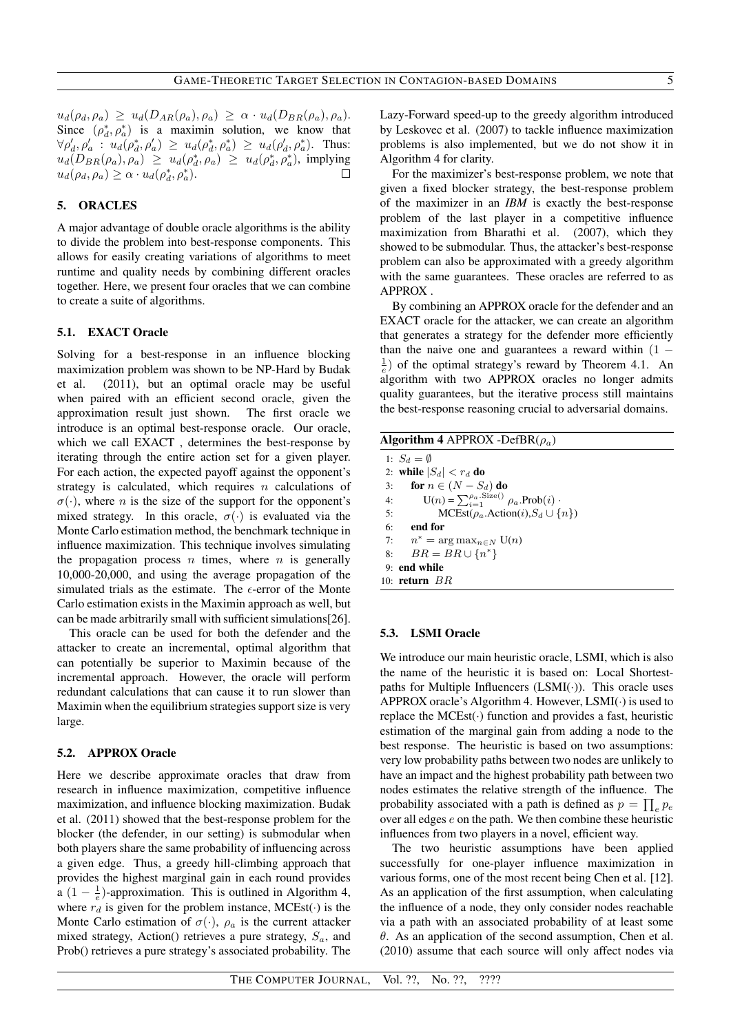$u_d(\rho_d, \rho_a) \geq u_d(D_{AR}(\rho_a), \rho_a) \geq \alpha \cdot u_d(D_{BR}(\rho_a), \rho_a).$ Since  $(\rho_d^*, \rho_a^*)$  is a maximin solution, we know that  $\forall \rho_d', \rho_a' : u_d(\rho_d^*, \rho_a') \geq u_d(\rho_d^*, \rho_a^*) \geq u_d(\rho_d', \rho_a^*)$ . Thus:  $u_d(D_{BR}(\rho_a), \rho_a) \geq u_d(\rho_d^*, \rho_a) \geq u_d(\rho_d^*, \rho_a^*)$ , implying  $u_d(\rho_d, \rho_a) \geq \alpha \cdot u_d(\rho_d^*, \rho_a^*).$  $\Box$ 

## 5. ORACLES

A major advantage of double oracle algorithms is the ability to divide the problem into best-response components. This allows for easily creating variations of algorithms to meet runtime and quality needs by combining different oracles together. Here, we present four oracles that we can combine to create a suite of algorithms.

### 5.1. EXACT Oracle

Solving for a best-response in an influence blocking maximization problem was shown to be NP-Hard by Budak et al. (2011), but an optimal oracle may be useful when paired with an efficient second oracle, given the approximation result just shown. The first oracle we introduce is an optimal best-response oracle. Our oracle, which we call EXACT , determines the best-response by iterating through the entire action set for a given player. For each action, the expected payoff against the opponent's strategy is calculated, which requires  $n$  calculations of  $\sigma(\cdot)$ , where *n* is the size of the support for the opponent's mixed strategy. In this oracle,  $\sigma(\cdot)$  is evaluated via the Monte Carlo estimation method, the benchmark technique in influence maximization. This technique involves simulating the propagation process  $n$  times, where  $n$  is generally 10,000-20,000, and using the average propagation of the simulated trials as the estimate. The  $\epsilon$ -error of the Monte Carlo estimation exists in the Maximin approach as well, but can be made arbitrarily small with sufficient simulations[26].

This oracle can be used for both the defender and the attacker to create an incremental, optimal algorithm that can potentially be superior to Maximin because of the incremental approach. However, the oracle will perform redundant calculations that can cause it to run slower than Maximin when the equilibrium strategies support size is very large.

#### 5.2. APPROX Oracle

Here we describe approximate oracles that draw from research in influence maximization, competitive influence maximization, and influence blocking maximization. Budak et al. (2011) showed that the best-response problem for the blocker (the defender, in our setting) is submodular when both players share the same probability of influencing across a given edge. Thus, a greedy hill-climbing approach that provides the highest marginal gain in each round provides a  $(1 - \frac{1}{e})$ -approximation. This is outlined in Algorithm 4, where  $r_d$  is given for the problem instance, MCEst( $\cdot$ ) is the Monte Carlo estimation of  $\sigma(\cdot)$ ,  $\rho_a$  is the current attacker mixed strategy, Action() retrieves a pure strategy,  $S_a$ , and Prob() retrieves a pure strategy's associated probability. The

Lazy-Forward speed-up to the greedy algorithm introduced by Leskovec et al. (2007) to tackle influence maximization problems is also implemented, but we do not show it in Algorithm 4 for clarity.

For the maximizer's best-response problem, we note that given a fixed blocker strategy, the best-response problem of the maximizer in an *IBM* is exactly the best-response problem of the last player in a competitive influence maximization from Bharathi et al. (2007), which they showed to be submodular. Thus, the attacker's best-response problem can also be approximated with a greedy algorithm with the same guarantees. These oracles are referred to as APPROX .

By combining an APPROX oracle for the defender and an EXACT oracle for the attacker, we can create an algorithm that generates a strategy for the defender more efficiently than the naive one and guarantees a reward within  $(1 \frac{1}{e}$ ) of the optimal strategy's reward by Theorem 4.1. An algorithm with two APPROX oracles no longer admits quality guarantees, but the iterative process still maintains the best-response reasoning crucial to adversarial domains.

Algorithm 4 APPROX -DefBR $(\rho_a)$ 

1:  $S_d = \emptyset$ 2: while  $|S_d| < r_d$  do 3: for  $n \in (N - S_d)$  do 4:  $U(n) = \sum_{i=1}^{\rho_a \text{.Size}(i)} \rho_a \text{.Prob}(i)$ . 5: MCEst( $\rho_a$ .Action(i), $S_d \cup \{n\}$ ) 6: end for 7:  $n^* = \arg \max_{n \in N} U(n)$ 8:  $BR = BR \cup \{n^*\}$ 9: end while 10: return BR

#### 5.3. LSMI Oracle

We introduce our main heuristic oracle, LSMI, which is also the name of the heuristic it is based on: Local Shortestpaths for Multiple Influencers  $(LSMI(\cdot))$ . This oracle uses APPROX oracle's Algorithm 4. However,  $LSMI(\cdot)$  is used to replace the  $MCEst(\cdot)$  function and provides a fast, heuristic estimation of the marginal gain from adding a node to the best response. The heuristic is based on two assumptions: very low probability paths between two nodes are unlikely to have an impact and the highest probability path between two nodes estimates the relative strength of the influence. The probability associated with a path is defined as  $p = \prod_e p_e$ over all edges e on the path. We then combine these heuristic influences from two players in a novel, efficient way.

The two heuristic assumptions have been applied successfully for one-player influence maximization in various forms, one of the most recent being Chen et al. [12]. As an application of the first assumption, when calculating the influence of a node, they only consider nodes reachable via a path with an associated probability of at least some  $\theta$ . As an application of the second assumption. Chen et al. (2010) assume that each source will only affect nodes via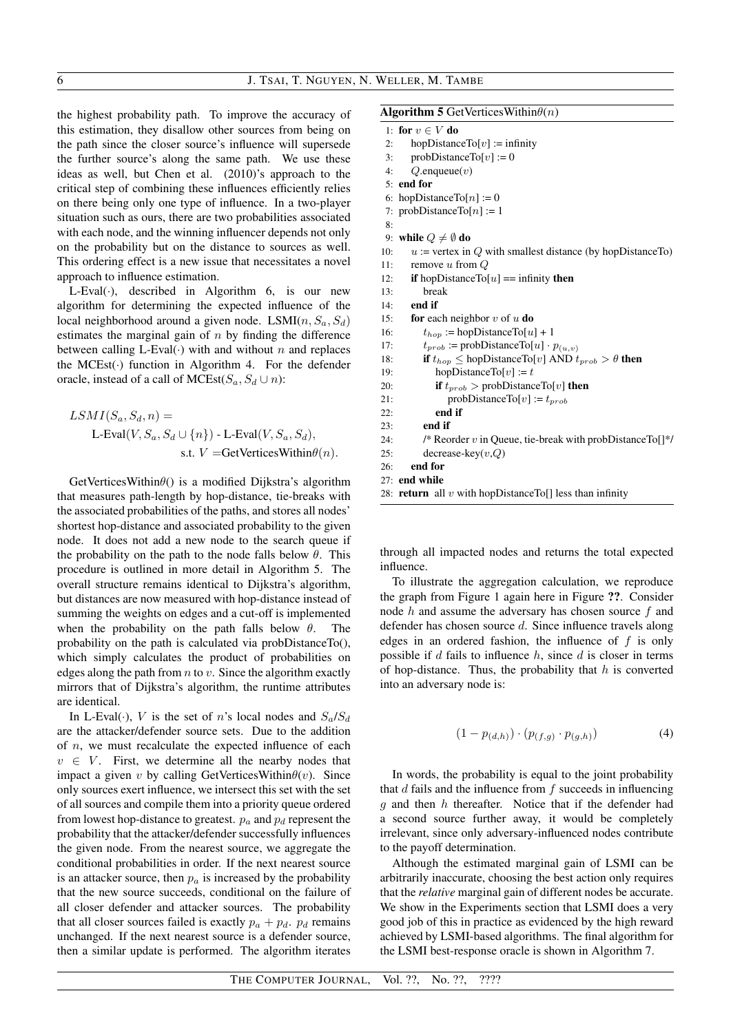the highest probability path. To improve the accuracy of this estimation, they disallow other sources from being on the path since the closer source's influence will supersede the further source's along the same path. We use these ideas as well, but Chen et al. (2010)'s approach to the critical step of combining these influences efficiently relies on there being only one type of influence. In a two-player situation such as ours, there are two probabilities associated with each node, and the winning influencer depends not only on the probability but on the distance to sources as well. This ordering effect is a new issue that necessitates a novel approach to influence estimation.

L-Eval( $\cdot$ ), described in Algorithm 6, is our new algorithm for determining the expected influence of the local neighborhood around a given node. LSMI $(n, S_a, S_d)$ estimates the marginal gain of  $n$  by finding the difference between calling L-Eval( $\cdot$ ) with and without n and replaces the MCEst $(\cdot)$  function in Algorithm 4. For the defender oracle, instead of a call of MCEst( $S_a$ ,  $S_d \cup n$ ):

$$
LSMI(S_a, S_d, n) =
$$
  
\n
$$
L-Eval(V, S_a, S_d \cup \{n\}) - L-Eval(V, S_a, S_d),
$$
  
\n
$$
s.t. V = GetVerticesWithin\theta(n).
$$

GetVerticesWithin $\theta$ () is a modified Dijkstra's algorithm that measures path-length by hop-distance, tie-breaks with the associated probabilities of the paths, and stores all nodes' shortest hop-distance and associated probability to the given node. It does not add a new node to the search queue if the probability on the path to the node falls below  $\theta$ . This procedure is outlined in more detail in Algorithm 5. The overall structure remains identical to Dijkstra's algorithm, but distances are now measured with hop-distance instead of summing the weights on edges and a cut-off is implemented when the probability on the path falls below  $\theta$ . The probability on the path is calculated via probDistanceTo(), which simply calculates the product of probabilities on edges along the path from  $n \times v$ . Since the algorithm exactly mirrors that of Dijkstra's algorithm, the runtime attributes are identical.

In L-Eval(.), V is the set of n's local nodes and  $S_a/S_d$ are the attacker/defender source sets. Due to the addition of  $n$ , we must recalculate the expected influence of each  $v \in V$ . First, we determine all the nearby nodes that impact a given v by calling GetVerticesWithin $\theta(v)$ . Since only sources exert influence, we intersect this set with the set of all sources and compile them into a priority queue ordered from lowest hop-distance to greatest.  $p_a$  and  $p_d$  represent the probability that the attacker/defender successfully influences the given node. From the nearest source, we aggregate the conditional probabilities in order. If the next nearest source is an attacker source, then  $p_a$  is increased by the probability that the new source succeeds, conditional on the failure of all closer defender and attacker sources. The probability that all closer sources failed is exactly  $p_a + p_d$ ,  $p_d$  remains unchanged. If the next nearest source is a defender source, then a similar update is performed. The algorithm iterates

## Algorithm 5 GetVerticesWithin $\theta(n)$

```
1: for v \in V do
```
2: hopDistanceTo[v] := infinity

```
3: probDistanceTo[v] := 0
```
- 4:  $Q$ .enqueue $(v)$
- 5: end for
- 6: hopDistanceTo[ $n$ ] := 0
- 7: probDistanceTo $[n] := 1$
- $\mathbf{g}$
- 9: while  $Q \neq \emptyset$  do
- 10:  $u :=$  vertex in Q with smallest distance (by hopDistanceTo)
- 11: remove  $u$  from  $Q$
- 12: if hopDistanceTo[ $u$ ] == infinity then
- 13: break
- 14: end if
- 15: for each neighbor  $v$  of  $u$  do
- 16:  $t_{hop} := \text{hopDistanceTo}[u] + 1$
- 17:  $t_{prob}$  := probDistanceTo[u] ·  $p_{(u,v)}$
- 18: **if**  $t_{hop} \leq$  hopDistanceTo[v] AND  $t_{prob} > \theta$  **then**
- 19: hopDistanceTo[ $v$ ] := t
- 20: **if**  $t_{prob} >$  probDistanceTo[v] **then**
- 21: probDistanceTo[v] :=  $t_{prob}$
- $22:$  end if
- $23$ : end if
- 24: /\* Reorder v in Queue, tie-break with probDistanceTo[]\*/
- 25: decrease-key $(v,Q)$
- $26<sup>c</sup>$  end for
- $27<sup>°</sup>$  end while
- 28: return all v with hopDistanceTo[] less than infinity

through all impacted nodes and returns the total expected influence.

To illustrate the aggregation calculation, we reproduce the graph from Figure 1 again here in Figure ??. Consider node  $h$  and assume the adversary has chosen source  $f$  and defender has chosen source d. Since influence travels along edges in an ordered fashion, the influence of  $f$  is only possible if  $d$  fails to influence  $h$ , since  $d$  is closer in terms of hop-distance. Thus, the probability that  $h$  is converted into an adversary node is:

$$
(1 - p_{(d,h)}) \cdot (p_{(f,g)} \cdot p_{(g,h)}) \tag{4}
$$

In words, the probability is equal to the joint probability that  $d$  fails and the influence from  $f$  succeeds in influencing  $g$  and then  $h$  thereafter. Notice that if the defender had a second source further away, it would be completely irrelevant, since only adversary-influenced nodes contribute to the payoff determination.

Although the estimated marginal gain of LSMI can be arbitrarily inaccurate, choosing the best action only requires that the *relative* marginal gain of different nodes be accurate. We show in the Experiments section that LSMI does a very good job of this in practice as evidenced by the high reward achieved by LSMI-based algorithms. The final algorithm for the LSMI best-response oracle is shown in Algorithm 7.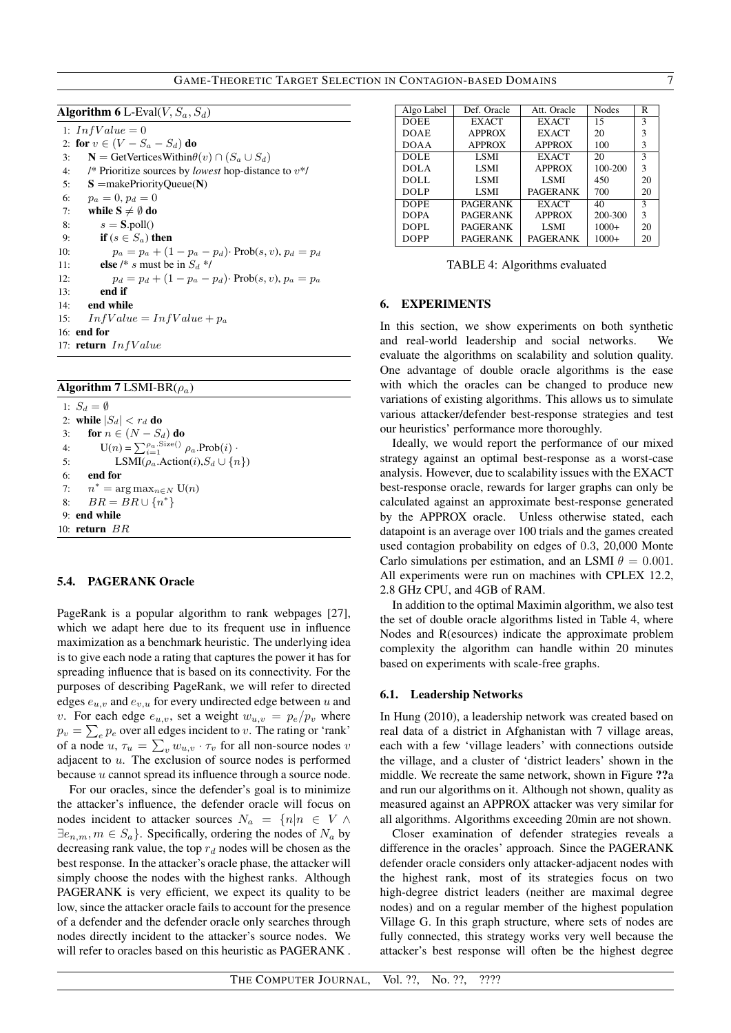#### Algorithm 6 L-Eval $(V, S_a, S_d)$

1:  $InfValue = 0$ 2: for  $v \in (V - S_a - S_d)$  do 3:  $N = \text{GetVerticesWithin}\theta(v) \cap (S_a \cup S_d)$ 4: /\* Prioritize sources by *lowest* hop-distance to v\*/ 5:  $S = makePriorityQueue(N)$ 6:  $p_a = 0, p_d = 0$ 7: while  $S \neq \emptyset$  do 8:  $s = S \text{.poll}()$ 9: **if**  $(s \in S_a)$  then 10:  $p_a = p_a + (1 - p_a - p_d) \cdot Prob(s, v), p_d = p_d$ 11: **else** /\* s must be in  $S_d$  \*/ 12:  $p_d = p_d + (1 - p_a - p_d) \cdot \text{Prob}(s, v), p_a = p_a$ 13: end if 14: end while 15:  $InfValue = InfValue + p_a$ 16: end for 17: return  $InfValue$ 

#### Algorithm 7 LSMI-BR( $\rho_a$ )

1:  $S_d = \emptyset$ 2: while  $|S_d| < r_d$  do 3: for  $n \in (N - S_d)$  do 4:  $U(n) = \sum_{i=1}^{\rho_a \cdot \text{Size}(i)} \rho_a \cdot \text{Prob}(i)$ . 5: LSMI( $\rho_a$ .Action(i), $S_d \cup \{n\}$ ) 6: end for 7:  $n^* = \arg \max_{n \in N} U(n)$ 8:  $BR = BR \cup \{n^*\}$ 9: end while 10: return BR

## 5.4. PAGERANK Oracle

PageRank is a popular algorithm to rank webpages [27], which we adapt here due to its frequent use in influence maximization as a benchmark heuristic. The underlying idea is to give each node a rating that captures the power it has for spreading influence that is based on its connectivity. For the purposes of describing PageRank, we will refer to directed edges  $e_{u,v}$  and  $e_{v,u}$  for every undirected edge between u and v. For each edge  $e_{u,v}$ , set a weight  $w_{u,v} = p_e/p_v$  where  $p_v = \sum_e p_e$  over all edges incident to v. The rating or 'rank' of a node  $u, \tau_u = \sum_v w_{u,v} \cdot \tau_v$  for all non-source nodes  $v$ adjacent to u. The exclusion of source nodes is performed because u cannot spread its influence through a source node.

For our oracles, since the defender's goal is to minimize the attacker's influence, the defender oracle will focus on nodes incident to attacker sources  $N_a = \{n | n \in V \land$  $\exists e_{n,m}, m \in S_a$ . Specifically, ordering the nodes of  $N_a$  by decreasing rank value, the top  $r_d$  nodes will be chosen as the best response. In the attacker's oracle phase, the attacker will simply choose the nodes with the highest ranks. Although PAGERANK is very efficient, we expect its quality to be low, since the attacker oracle fails to account for the presence of a defender and the defender oracle only searches through nodes directly incident to the attacker's source nodes. We will refer to oracles based on this heuristic as PAGERANK .

| Algo Label  | Def. Oracle     | Att. Oracle     | <b>Nodes</b> | R            |
|-------------|-----------------|-----------------|--------------|--------------|
| <b>DOEE</b> | <b>EXACT</b>    | <b>EXACT</b>    | 15           | $\mathbf{3}$ |
| <b>DOAE</b> | <b>APPROX</b>   | <b>EXACT</b>    | 20           | 3            |
| <b>DOAA</b> | <b>APPROX</b>   | <b>APPROX</b>   | 100          | 3            |
| <b>DOLE</b> | <b>LSMI</b>     | <b>EXACT</b>    | 20           | $\mathbf{3}$ |
| DOL A       | <b>LSMI</b>     | <b>APPROX</b>   | 100-200      | 3            |
| DOLL        | <b>LSMI</b>     | <b>LSMI</b>     | 450          | 20           |
| <b>DOLP</b> | <b>LSMI</b>     | <b>PAGERANK</b> | 700          | 20           |
| <b>DOPE</b> | <b>PAGERANK</b> | <b>EXACT</b>    | 40           | ٩            |
| <b>DOPA</b> | <b>PAGERANK</b> | <b>APPROX</b>   | 200-300      | 3            |
| DOPL        | <b>PAGERANK</b> | <b>LSMI</b>     | $1000+$      | 20           |
| <b>DOPP</b> | <b>PAGERANK</b> | <b>PAGERANK</b> | $1000+$      | 20           |

TABLE 4: Algorithms evaluated

#### 6. EXPERIMENTS

In this section, we show experiments on both synthetic and real-world leadership and social networks. We evaluate the algorithms on scalability and solution quality. One advantage of double oracle algorithms is the ease with which the oracles can be changed to produce new variations of existing algorithms. This allows us to simulate various attacker/defender best-response strategies and test our heuristics' performance more thoroughly.

Ideally, we would report the performance of our mixed strategy against an optimal best-response as a worst-case analysis. However, due to scalability issues with the EXACT best-response oracle, rewards for larger graphs can only be calculated against an approximate best-response generated by the APPROX oracle. Unless otherwise stated, each datapoint is an average over 100 trials and the games created used contagion probability on edges of 0.3, 20,000 Monte Carlo simulations per estimation, and an LSMI  $\theta = 0.001$ . All experiments were run on machines with CPLEX 12.2, 2.8 GHz CPU, and 4GB of RAM.

In addition to the optimal Maximin algorithm, we also test the set of double oracle algorithms listed in Table 4, where Nodes and R(esources) indicate the approximate problem complexity the algorithm can handle within 20 minutes based on experiments with scale-free graphs.

#### 6.1. Leadership Networks

In Hung (2010), a leadership network was created based on real data of a district in Afghanistan with 7 village areas, each with a few 'village leaders' with connections outside the village, and a cluster of 'district leaders' shown in the middle. We recreate the same network, shown in Figure ??a and run our algorithms on it. Although not shown, quality as measured against an APPROX attacker was very similar for all algorithms. Algorithms exceeding 20min are not shown.

Closer examination of defender strategies reveals a difference in the oracles' approach. Since the PAGERANK defender oracle considers only attacker-adjacent nodes with the highest rank, most of its strategies focus on two high-degree district leaders (neither are maximal degree nodes) and on a regular member of the highest population Village G. In this graph structure, where sets of nodes are fully connected, this strategy works very well because the attacker's best response will often be the highest degree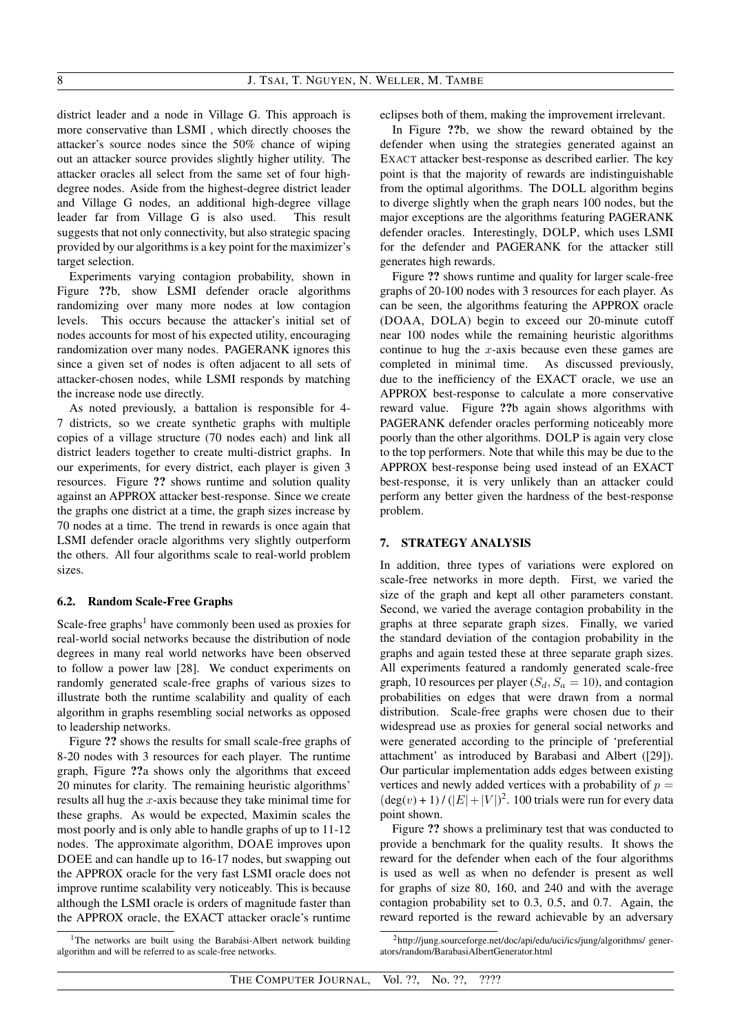district leader and a node in Village G. This approach is more conservative than LSMI , which directly chooses the attacker's source nodes since the 50% chance of wiping out an attacker source provides slightly higher utility. The attacker oracles all select from the same set of four highdegree nodes. Aside from the highest-degree district leader and Village G nodes, an additional high-degree village leader far from Village G is also used. This result suggests that not only connectivity, but also strategic spacing provided by our algorithms is a key point for the maximizer's target selection.

Experiments varying contagion probability, shown in Figure ??b, show LSMI defender oracle algorithms randomizing over many more nodes at low contagion levels. This occurs because the attacker's initial set of nodes accounts for most of his expected utility, encouraging randomization over many nodes. PAGERANK ignores this since a given set of nodes is often adjacent to all sets of attacker-chosen nodes, while LSMI responds by matching the increase node use directly.

As noted previously, a battalion is responsible for 4- 7 districts, so we create synthetic graphs with multiple copies of a village structure (70 nodes each) and link all district leaders together to create multi-district graphs. In our experiments, for every district, each player is given 3 resources. Figure ?? shows runtime and solution quality against an APPROX attacker best-response. Since we create the graphs one district at a time, the graph sizes increase by 70 nodes at a time. The trend in rewards is once again that LSMI defender oracle algorithms very slightly outperform the others. All four algorithms scale to real-world problem sizes.

## 6.2. Random Scale-Free Graphs

Scale-free graphs<sup>1</sup> have commonly been used as proxies for real-world social networks because the distribution of node degrees in many real world networks have been observed to follow a power law [28]. We conduct experiments on randomly generated scale-free graphs of various sizes to illustrate both the runtime scalability and quality of each algorithm in graphs resembling social networks as opposed to leadership networks.

Figure ?? shows the results for small scale-free graphs of 8-20 nodes with 3 resources for each player. The runtime graph, Figure ??a shows only the algorithms that exceed 20 minutes for clarity. The remaining heuristic algorithms' results all hug the  $x$ -axis because they take minimal time for these graphs. As would be expected, Maximin scales the most poorly and is only able to handle graphs of up to 11-12 nodes. The approximate algorithm, DOAE improves upon DOEE and can handle up to 16-17 nodes, but swapping out the APPROX oracle for the very fast LSMI oracle does not improve runtime scalability very noticeably. This is because although the LSMI oracle is orders of magnitude faster than the APPROX oracle, the EXACT attacker oracle's runtime

<sup>1</sup>The networks are built using the Barabási-Albert network building algorithm and will be referred to as scale-free networks.

eclipses both of them, making the improvement irrelevant.

In Figure ??b, we show the reward obtained by the defender when using the strategies generated against an EXACT attacker best-response as described earlier. The key point is that the majority of rewards are indistinguishable from the optimal algorithms. The DOLL algorithm begins to diverge slightly when the graph nears 100 nodes, but the major exceptions are the algorithms featuring PAGERANK defender oracles. Interestingly, DOLP, which uses LSMI for the defender and PAGERANK for the attacker still generates high rewards.

Figure ?? shows runtime and quality for larger scale-free graphs of 20-100 nodes with 3 resources for each player. As can be seen, the algorithms featuring the APPROX oracle (DOAA, DOLA) begin to exceed our 20-minute cutoff near 100 nodes while the remaining heuristic algorithms continue to hug the  $x$ -axis because even these games are completed in minimal time. As discussed previously, due to the inefficiency of the EXACT oracle, we use an APPROX best-response to calculate a more conservative reward value. Figure ??b again shows algorithms with PAGERANK defender oracles performing noticeably more poorly than the other algorithms. DOLP is again very close to the top performers. Note that while this may be due to the APPROX best-response being used instead of an EXACT best-response, it is very unlikely than an attacker could perform any better given the hardness of the best-response problem.

#### 7. STRATEGY ANALYSIS

In addition, three types of variations were explored on scale-free networks in more depth. First, we varied the size of the graph and kept all other parameters constant. Second, we varied the average contagion probability in the graphs at three separate graph sizes. Finally, we varied the standard deviation of the contagion probability in the graphs and again tested these at three separate graph sizes. All experiments featured a randomly generated scale-free graph, 10 resources per player  $(S_d, S_a = 10)$ , and contagion probabilities on edges that were drawn from a normal distribution. Scale-free graphs were chosen due to their widespread use as proxies for general social networks and were generated according to the principle of 'preferential attachment' as introduced by Barabasi and Albert ([29]). Our particular implementation adds edges between existing vertices and newly added vertices with a probability of  $p =$  $(\deg(v) + 1) / (|E| + |V|)^2$ . 100 trials were run for every data point shown.

Figure ?? shows a preliminary test that was conducted to provide a benchmark for the quality results. It shows the reward for the defender when each of the four algorithms is used as well as when no defender is present as well for graphs of size 80, 160, and 240 and with the average contagion probability set to 0.3, 0.5, and 0.7. Again, the reward reported is the reward achievable by an adversary

<sup>2</sup>http://jung.sourceforge.net/doc/api/edu/uci/ics/jung/algorithms/ generators/random/BarabasiAlbertGenerator.html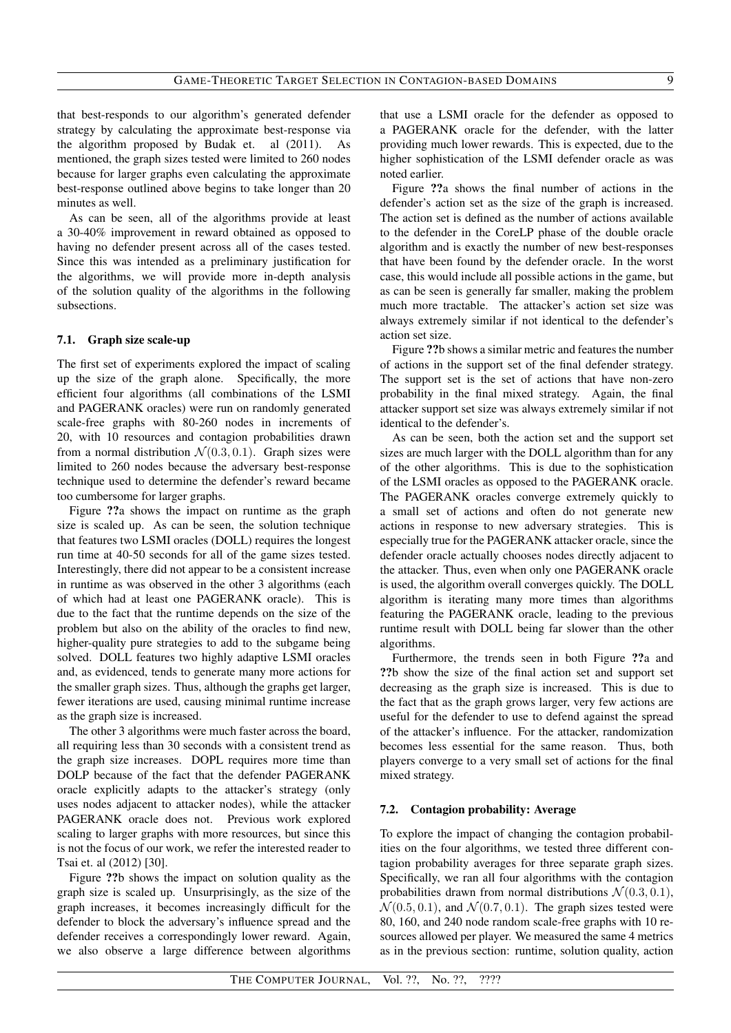that best-responds to our algorithm's generated defender strategy by calculating the approximate best-response via the algorithm proposed by Budak et. al (2011). As mentioned, the graph sizes tested were limited to 260 nodes because for larger graphs even calculating the approximate best-response outlined above begins to take longer than 20 minutes as well.

As can be seen, all of the algorithms provide at least a 30-40% improvement in reward obtained as opposed to having no defender present across all of the cases tested. Since this was intended as a preliminary justification for the algorithms, we will provide more in-depth analysis of the solution quality of the algorithms in the following subsections.

### 7.1. Graph size scale-up

The first set of experiments explored the impact of scaling up the size of the graph alone. Specifically, the more efficient four algorithms (all combinations of the LSMI and PAGERANK oracles) were run on randomly generated scale-free graphs with 80-260 nodes in increments of 20, with 10 resources and contagion probabilities drawn from a normal distribution  $\mathcal{N}(0.3, 0.1)$ . Graph sizes were limited to 260 nodes because the adversary best-response technique used to determine the defender's reward became too cumbersome for larger graphs.

Figure ??a shows the impact on runtime as the graph size is scaled up. As can be seen, the solution technique that features two LSMI oracles (DOLL) requires the longest run time at 40-50 seconds for all of the game sizes tested. Interestingly, there did not appear to be a consistent increase in runtime as was observed in the other 3 algorithms (each of which had at least one PAGERANK oracle). This is due to the fact that the runtime depends on the size of the problem but also on the ability of the oracles to find new, higher-quality pure strategies to add to the subgame being solved. DOLL features two highly adaptive LSMI oracles and, as evidenced, tends to generate many more actions for the smaller graph sizes. Thus, although the graphs get larger, fewer iterations are used, causing minimal runtime increase as the graph size is increased.

The other 3 algorithms were much faster across the board, all requiring less than 30 seconds with a consistent trend as the graph size increases. DOPL requires more time than DOLP because of the fact that the defender PAGERANK oracle explicitly adapts to the attacker's strategy (only uses nodes adjacent to attacker nodes), while the attacker PAGERANK oracle does not. Previous work explored scaling to larger graphs with more resources, but since this is not the focus of our work, we refer the interested reader to Tsai et. al (2012) [30].

Figure ??b shows the impact on solution quality as the graph size is scaled up. Unsurprisingly, as the size of the graph increases, it becomes increasingly difficult for the defender to block the adversary's influence spread and the defender receives a correspondingly lower reward. Again, we also observe a large difference between algorithms

that use a LSMI oracle for the defender as opposed to a PAGERANK oracle for the defender, with the latter providing much lower rewards. This is expected, due to the higher sophistication of the LSMI defender oracle as was noted earlier.

Figure ??a shows the final number of actions in the defender's action set as the size of the graph is increased. The action set is defined as the number of actions available to the defender in the CoreLP phase of the double oracle algorithm and is exactly the number of new best-responses that have been found by the defender oracle. In the worst case, this would include all possible actions in the game, but as can be seen is generally far smaller, making the problem much more tractable. The attacker's action set size was always extremely similar if not identical to the defender's action set size.

Figure ??b shows a similar metric and features the number of actions in the support set of the final defender strategy. The support set is the set of actions that have non-zero probability in the final mixed strategy. Again, the final attacker support set size was always extremely similar if not identical to the defender's.

As can be seen, both the action set and the support set sizes are much larger with the DOLL algorithm than for any of the other algorithms. This is due to the sophistication of the LSMI oracles as opposed to the PAGERANK oracle. The PAGERANK oracles converge extremely quickly to a small set of actions and often do not generate new actions in response to new adversary strategies. This is especially true for the PAGERANK attacker oracle, since the defender oracle actually chooses nodes directly adjacent to the attacker. Thus, even when only one PAGERANK oracle is used, the algorithm overall converges quickly. The DOLL algorithm is iterating many more times than algorithms featuring the PAGERANK oracle, leading to the previous runtime result with DOLL being far slower than the other algorithms.

Furthermore, the trends seen in both Figure ??a and ??b show the size of the final action set and support set decreasing as the graph size is increased. This is due to the fact that as the graph grows larger, very few actions are useful for the defender to use to defend against the spread of the attacker's influence. For the attacker, randomization becomes less essential for the same reason. Thus, both players converge to a very small set of actions for the final mixed strategy.

#### 7.2. Contagion probability: Average

To explore the impact of changing the contagion probabilities on the four algorithms, we tested three different contagion probability averages for three separate graph sizes. Specifically, we ran all four algorithms with the contagion probabilities drawn from normal distributions  $\mathcal{N}(0.3, 0.1)$ ,  $\mathcal{N}(0.5, 0.1)$ , and  $\mathcal{N}(0.7, 0.1)$ . The graph sizes tested were 80, 160, and 240 node random scale-free graphs with 10 resources allowed per player. We measured the same 4 metrics as in the previous section: runtime, solution quality, action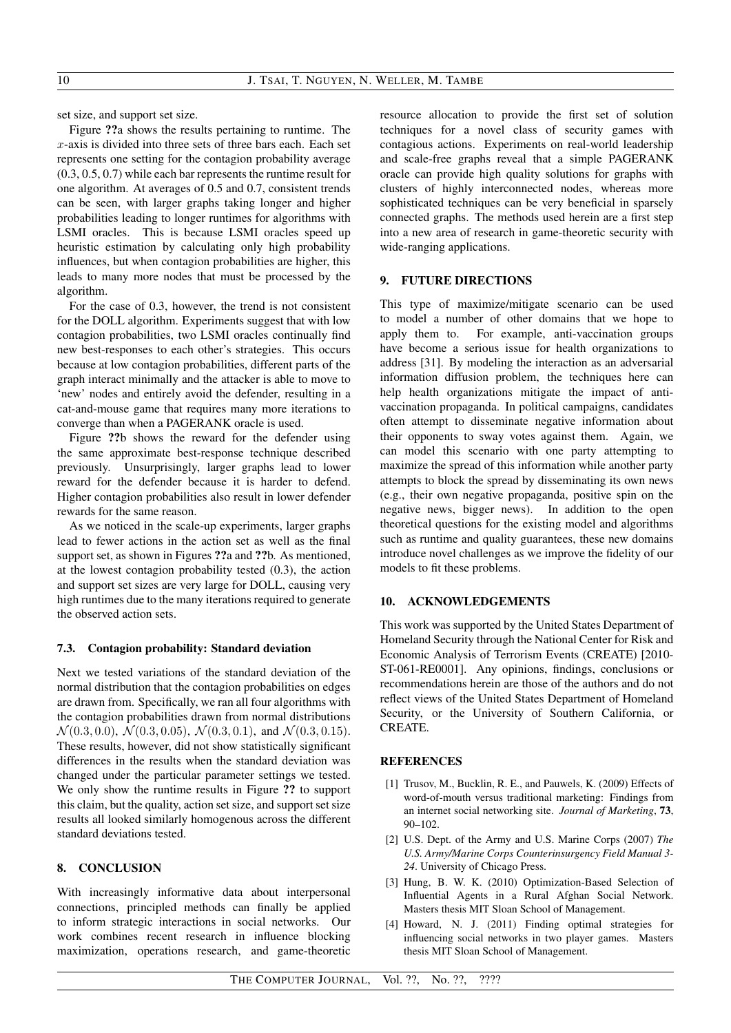set size, and support set size.

Figure ??a shows the results pertaining to runtime. The  $x$ -axis is divided into three sets of three bars each. Each set represents one setting for the contagion probability average (0.3, 0.5, 0.7) while each bar represents the runtime result for one algorithm. At averages of 0.5 and 0.7, consistent trends can be seen, with larger graphs taking longer and higher probabilities leading to longer runtimes for algorithms with LSMI oracles. This is because LSMI oracles speed up heuristic estimation by calculating only high probability influences, but when contagion probabilities are higher, this leads to many more nodes that must be processed by the algorithm.

For the case of 0.3, however, the trend is not consistent for the DOLL algorithm. Experiments suggest that with low contagion probabilities, two LSMI oracles continually find new best-responses to each other's strategies. This occurs because at low contagion probabilities, different parts of the graph interact minimally and the attacker is able to move to 'new' nodes and entirely avoid the defender, resulting in a cat-and-mouse game that requires many more iterations to converge than when a PAGERANK oracle is used.

Figure ??b shows the reward for the defender using the same approximate best-response technique described previously. Unsurprisingly, larger graphs lead to lower reward for the defender because it is harder to defend. Higher contagion probabilities also result in lower defender rewards for the same reason.

As we noticed in the scale-up experiments, larger graphs lead to fewer actions in the action set as well as the final support set, as shown in Figures ??a and ??b. As mentioned, at the lowest contagion probability tested (0.3), the action and support set sizes are very large for DOLL, causing very high runtimes due to the many iterations required to generate the observed action sets.

#### 7.3. Contagion probability: Standard deviation

Next we tested variations of the standard deviation of the normal distribution that the contagion probabilities on edges are drawn from. Specifically, we ran all four algorithms with the contagion probabilities drawn from normal distributions  $\mathcal{N}(0.3, 0.0), \, \mathcal{N}(0.3, 0.05), \, \mathcal{N}(0.3, 0.1),$  and  $\mathcal{N}(0.3, 0.15).$ These results, however, did not show statistically significant differences in the results when the standard deviation was changed under the particular parameter settings we tested. We only show the runtime results in Figure ?? to support this claim, but the quality, action set size, and support set size results all looked similarly homogenous across the different standard deviations tested.

# 8. CONCLUSION

With increasingly informative data about interpersonal connections, principled methods can finally be applied to inform strategic interactions in social networks. Our work combines recent research in influence blocking maximization, operations research, and game-theoretic

resource allocation to provide the first set of solution techniques for a novel class of security games with contagious actions. Experiments on real-world leadership and scale-free graphs reveal that a simple PAGERANK oracle can provide high quality solutions for graphs with clusters of highly interconnected nodes, whereas more sophisticated techniques can be very beneficial in sparsely connected graphs. The methods used herein are a first step into a new area of research in game-theoretic security with wide-ranging applications.

## 9. FUTURE DIRECTIONS

This type of maximize/mitigate scenario can be used to model a number of other domains that we hope to apply them to. For example, anti-vaccination groups have become a serious issue for health organizations to address [31]. By modeling the interaction as an adversarial information diffusion problem, the techniques here can help health organizations mitigate the impact of antivaccination propaganda. In political campaigns, candidates often attempt to disseminate negative information about their opponents to sway votes against them. Again, we can model this scenario with one party attempting to maximize the spread of this information while another party attempts to block the spread by disseminating its own news (e.g., their own negative propaganda, positive spin on the negative news, bigger news). In addition to the open theoretical questions for the existing model and algorithms such as runtime and quality guarantees, these new domains introduce novel challenges as we improve the fidelity of our models to fit these problems.

# 10. ACKNOWLEDGEMENTS

This work was supported by the United States Department of Homeland Security through the National Center for Risk and Economic Analysis of Terrorism Events (CREATE) [2010- ST-061-RE0001]. Any opinions, findings, conclusions or recommendations herein are those of the authors and do not reflect views of the United States Department of Homeland Security, or the University of Southern California, or CREATE.

## **REFERENCES**

- [1] Trusov, M., Bucklin, R. E., and Pauwels, K. (2009) Effects of word-of-mouth versus traditional marketing: Findings from an internet social networking site. *Journal of Marketing*, 73, 90–102.
- [2] U.S. Dept. of the Army and U.S. Marine Corps (2007) *The U.S. Army/Marine Corps Counterinsurgency Field Manual 3- 24*. University of Chicago Press.
- [3] Hung, B. W. K. (2010) Optimization-Based Selection of Influential Agents in a Rural Afghan Social Network. Masters thesis MIT Sloan School of Management.
- [4] Howard, N. J. (2011) Finding optimal strategies for influencing social networks in two player games. Masters thesis MIT Sloan School of Management.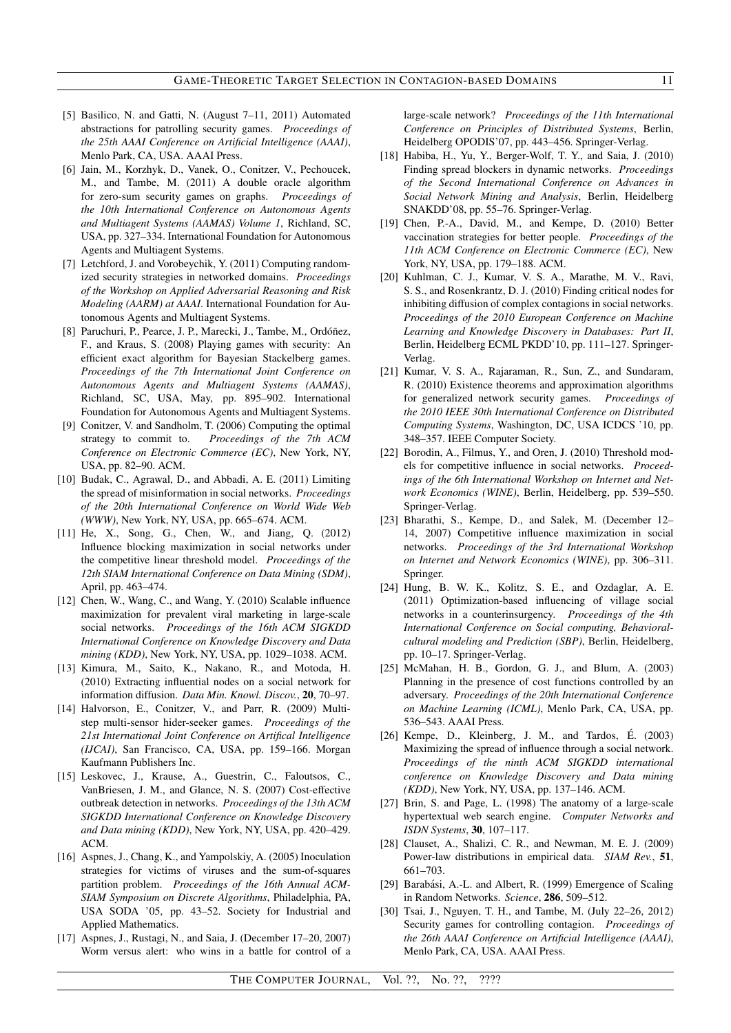- [5] Basilico, N. and Gatti, N. (August 7-11, 2011) Automated abstractions for patrolling security games. *Proceedings of the 25th AAAI Conference on Artificial Intelligence (AAAI)*, Menlo Park, CA, USA. AAAI Press.
- [6] Jain, M., Korzhyk, D., Vanek, O., Conitzer, V., Pechoucek, M., and Tambe, M. (2011) A double oracle algorithm for zero-sum security games on graphs. *Proceedings of the 10th International Conference on Autonomous Agents and Multiagent Systems (AAMAS) Volume 1*, Richland, SC, USA, pp. 327–334. International Foundation for Autonomous Agents and Multiagent Systems.
- [7] Letchford, J. and Vorobeychik, Y. (2011) Computing randomized security strategies in networked domains. *Proceedings of the Workshop on Applied Adversarial Reasoning and Risk Modeling (AARM) at AAAI*. International Foundation for Autonomous Agents and Multiagent Systems.
- [8] Paruchuri, P., Pearce, J. P., Marecki, J., Tambe, M., Ordóñez, F., and Kraus, S. (2008) Playing games with security: An efficient exact algorithm for Bayesian Stackelberg games. *Proceedings of the 7th International Joint Conference on Autonomous Agents and Multiagent Systems (AAMAS)*, Richland, SC, USA, May, pp. 895–902. International Foundation for Autonomous Agents and Multiagent Systems.
- [9] Conitzer, V. and Sandholm, T. (2006) Computing the optimal strategy to commit to. *Proceedings of the 7th ACM Conference on Electronic Commerce (EC)*, New York, NY, USA, pp. 82–90. ACM.
- [10] Budak, C., Agrawal, D., and Abbadi, A. E. (2011) Limiting the spread of misinformation in social networks. *Proceedings of the 20th International Conference on World Wide Web (WWW)*, New York, NY, USA, pp. 665–674. ACM.
- [11] He, X., Song, G., Chen, W., and Jiang, Q. (2012) Influence blocking maximization in social networks under the competitive linear threshold model. *Proceedings of the 12th SIAM International Conference on Data Mining (SDM)*, April, pp. 463–474.
- [12] Chen, W., Wang, C., and Wang, Y. (2010) Scalable influence maximization for prevalent viral marketing in large-scale social networks. *Proceedings of the 16th ACM SIGKDD International Conference on Knowledge Discovery and Data mining (KDD)*, New York, NY, USA, pp. 1029–1038. ACM.
- [13] Kimura, M., Saito, K., Nakano, R., and Motoda, H. (2010) Extracting influential nodes on a social network for information diffusion. *Data Min. Knowl. Discov.*, 20, 70–97.
- [14] Halvorson, E., Conitzer, V., and Parr, R. (2009) Multistep multi-sensor hider-seeker games. *Proceedings of the 21st International Joint Conference on Artifical Intelligence (IJCAI)*, San Francisco, CA, USA, pp. 159–166. Morgan Kaufmann Publishers Inc.
- [15] Leskovec, J., Krause, A., Guestrin, C., Faloutsos, C., VanBriesen, J. M., and Glance, N. S. (2007) Cost-effective outbreak detection in networks. *Proceedings of the 13th ACM SIGKDD International Conference on Knowledge Discovery and Data mining (KDD)*, New York, NY, USA, pp. 420–429. ACM.
- [16] Aspnes, J., Chang, K., and Yampolskiy, A. (2005) Inoculation strategies for victims of viruses and the sum-of-squares partition problem. *Proceedings of the 16th Annual ACM-SIAM Symposium on Discrete Algorithms*, Philadelphia, PA, USA SODA '05, pp. 43–52. Society for Industrial and Applied Mathematics.
- [17] Aspnes, J., Rustagi, N., and Saia, J. (December 17–20, 2007) Worm versus alert: who wins in a battle for control of a

large-scale network? *Proceedings of the 11th International Conference on Principles of Distributed Systems*, Berlin, Heidelberg OPODIS'07, pp. 443–456. Springer-Verlag.

- [18] Habiba, H., Yu, Y., Berger-Wolf, T. Y., and Saia, J. (2010) Finding spread blockers in dynamic networks. *Proceedings of the Second International Conference on Advances in Social Network Mining and Analysis*, Berlin, Heidelberg SNAKDD'08, pp. 55–76. Springer-Verlag.
- [19] Chen, P.-A., David, M., and Kempe, D. (2010) Better vaccination strategies for better people. *Proceedings of the 11th ACM Conference on Electronic Commerce (EC)*, New York, NY, USA, pp. 179–188. ACM.
- [20] Kuhlman, C. J., Kumar, V. S. A., Marathe, M. V., Ravi, S. S., and Rosenkrantz, D. J. (2010) Finding critical nodes for inhibiting diffusion of complex contagions in social networks. *Proceedings of the 2010 European Conference on Machine Learning and Knowledge Discovery in Databases: Part II*, Berlin, Heidelberg ECML PKDD'10, pp. 111–127. Springer-Verlag.
- [21] Kumar, V. S. A., Rajaraman, R., Sun, Z., and Sundaram, R. (2010) Existence theorems and approximation algorithms for generalized network security games. *Proceedings of the 2010 IEEE 30th International Conference on Distributed Computing Systems*, Washington, DC, USA ICDCS '10, pp. 348–357. IEEE Computer Society.
- [22] Borodin, A., Filmus, Y., and Oren, J. (2010) Threshold models for competitive influence in social networks. *Proceedings of the 6th International Workshop on Internet and Network Economics (WINE)*, Berlin, Heidelberg, pp. 539–550. Springer-Verlag.
- [23] Bharathi, S., Kempe, D., and Salek, M. (December 12– 14, 2007) Competitive influence maximization in social networks. *Proceedings of the 3rd International Workshop on Internet and Network Economics (WINE)*, pp. 306–311. Springer.
- [24] Hung, B. W. K., Kolitz, S. E., and Ozdaglar, A. E. (2011) Optimization-based influencing of village social networks in a counterinsurgency. *Proceedings of the 4th International Conference on Social computing, Behavioralcultural modeling and Prediction (SBP)*, Berlin, Heidelberg, pp. 10–17. Springer-Verlag.
- [25] McMahan, H. B., Gordon, G. J., and Blum, A. (2003) Planning in the presence of cost functions controlled by an adversary. *Proceedings of the 20th International Conference on Machine Learning (ICML)*, Menlo Park, CA, USA, pp. 536–543. AAAI Press.
- [26] Kempe, D., Kleinberg, J. M., and Tardos, É. (2003) Maximizing the spread of influence through a social network. *Proceedings of the ninth ACM SIGKDD international conference on Knowledge Discovery and Data mining (KDD)*, New York, NY, USA, pp. 137–146. ACM.
- [27] Brin, S. and Page, L. (1998) The anatomy of a large-scale hypertextual web search engine. *Computer Networks and ISDN Systems*, 30, 107–117.
- [28] Clauset, A., Shalizi, C. R., and Newman, M. E. J. (2009) Power-law distributions in empirical data. *SIAM Rev.*, 51, 661–703.
- [29] Barabási, A.-L. and Albert, R. (1999) Emergence of Scaling in Random Networks. *Science*, 286, 509–512.
- [30] Tsai, J., Nguyen, T. H., and Tambe, M. (July 22–26, 2012) Security games for controlling contagion. *Proceedings of the 26th AAAI Conference on Artificial Intelligence (AAAI)*, Menlo Park, CA, USA. AAAI Press.